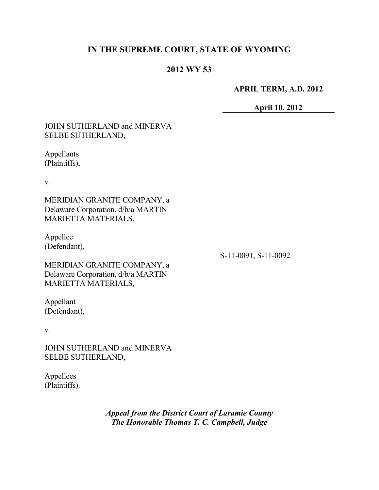# **IN THE SUPREME COURT, STATE OF WYOMING**

# **2012 WY 53**

#### **APRIL TERM, A.D. 2012**

# **April 10, 2012**

| JOHN SUTHERLAND and MINERVA<br><b>SELBE SUTHERLAND,</b>                                         |                      |
|-------------------------------------------------------------------------------------------------|----------------------|
| Appellants<br>(Plaintiffs),                                                                     |                      |
| V.                                                                                              |                      |
| MERIDIAN GRANITE COMPANY, a<br>Delaware Corporation, d/b/a MARTIN<br>MARIETTA MATERIALS,        |                      |
| Appellee<br>(Defendant).                                                                        | S-11-0091, S-11-0092 |
| MERIDIAN GRANITE COMPANY, a<br>Delaware Corporation, d/b/a MARTIN<br><b>MARIETTA MATERIALS,</b> |                      |
| Appellant<br>(Defendant),                                                                       |                      |
| V.                                                                                              |                      |
| JOHN SUTHERLAND and MINERVA<br><b>SELBE SUTHERLAND,</b>                                         |                      |
| Appellees<br>(Plaintiffs).                                                                      |                      |

*Appeal from the District Court of Laramie County The Honorable Thomas T. C. Campbell, Judge*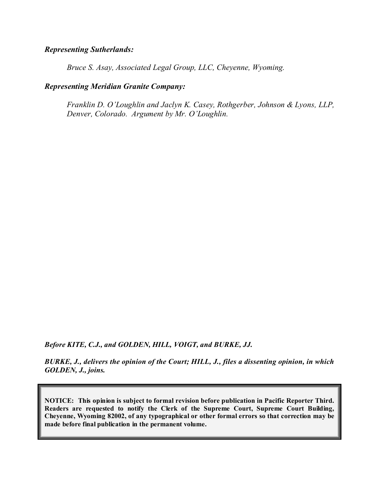#### *Representing Sutherlands:*

*Bruce S. Asay, Associated Legal Group, LLC, Cheyenne, Wyoming.*

## *Representing Meridian Granite Company:*

*Franklin D. O'Loughlin and Jaclyn K. Casey, Rothgerber, Johnson & Lyons, LLP, Denver, Colorado. Argument by Mr. O'Loughlin.*

*Before KITE, C.J., and GOLDEN, HILL, VOIGT, and BURKE, JJ.*

*BURKE, J., delivers the opinion of the Court; HILL, J., files a dissenting opinion, in which GOLDEN, J., joins.*

**NOTICE: This opinion is subject to formal revision before publication in Pacific Reporter Third. Readers are requested to notify the Clerk of the Supreme Court, Supreme Court Building, Cheyenne, Wyoming 82002, of any typographical or other formal errors so that correction may be made before final publication in the permanent volume.**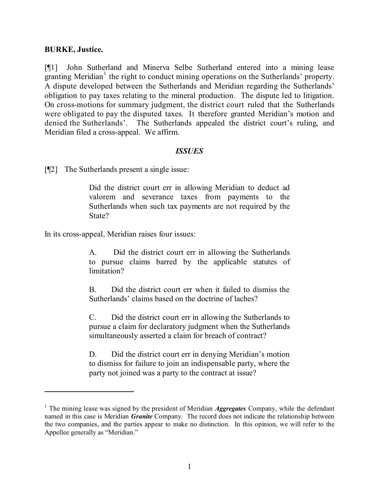#### **BURKE, Justice.**

[¶1] John Sutherland and Minerva Selbe Sutherland entered into a mining lease granting Meridian<sup>1</sup> the right to conduct mining operations on the Sutherlands' property. A dispute developed between the Sutherlands and Meridian regarding the Sutherlands' obligation to pay taxes relating to the mineral production. The dispute led to litigation. On cross-motions for summary judgment, the district court ruled that the Sutherlands were obligated to pay the disputed taxes. It therefore granted Meridian's motion and denied the Sutherlands'. The Sutherlands appealed the district court's ruling, and Meridian filed a cross-appeal. We affirm.

#### *ISSUES*

[¶2] The Sutherlands present a single issue:

Did the district court err in allowing Meridian to deduct ad valorem and severance taxes from payments to the Sutherlands when such tax payments are not required by the State?

In its cross-appeal, Meridian raises four issues:

A. Did the district court err in allowing the Sutherlands to pursue claims barred by the applicable statutes of limitation?

B. Did the district court err when it failed to dismiss the Sutherlands' claims based on the doctrine of laches?

C. Did the district court err in allowing the Sutherlands to pursue a claim for declaratory judgment when the Sutherlands simultaneously asserted a claim for breach of contract?

D. Did the district court err in denying Meridian's motion to dismiss for failure to join an indispensable party, where the party not joined was a party to the contract at issue?

<sup>&</sup>lt;sup>1</sup> The mining lease was signed by the president of Meridian *Aggregates* Company, while the defendant named in this case is Meridian *Granite* Company. The record does not indicate the relationship between the two companies, and the parties appear to make no distinction. In this opinion, we will refer to the Appellee generally as "Meridian."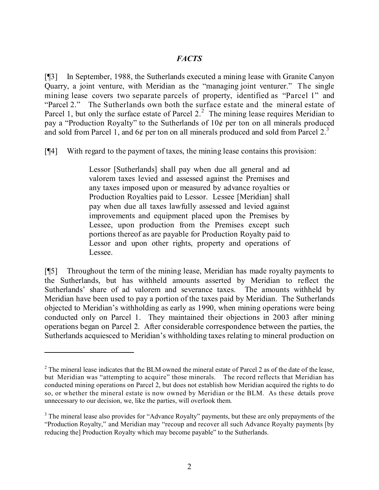[¶3] In September, 1988, the Sutherlands executed a mining lease with Granite Canyon Quarry, a joint venture, with Meridian as the "managing joint venturer." The single mining lease covers two separate parcels of property, identified as "Parcel 1" and "Parcel 2." The Sutherlands own both the surface estate and the mineral estate of Parcel 1, but only the surface estate of Parcel 2. $^2$  The mining lease requires Meridian to pay a "Production Royalty" to the Sutherlands of  $10¢$  per ton on all minerals produced and sold from Parcel 1, and  $6¢$  per ton on all minerals produced and sold from Parcel 2.<sup>3</sup>

[¶4] With regard to the payment of taxes, the mining lease contains this provision:

Lessor [Sutherlands] shall pay when due all general and ad valorem taxes levied and assessed against the Premises and any taxes imposed upon or measured by advance royalties or Production Royalties paid to Lessor. Lessee [Meridian] shall pay when due all taxes lawfully assessed and levied against improvements and equipment placed upon the Premises by Lessee, upon production from the Premises except such portions thereof as are payable for Production Royalty paid to Lessor and upon other rights, property and operations of Lessee.

[¶5] Throughout the term of the mining lease, Meridian has made royalty payments to the Sutherlands, but has withheld amounts asserted by Meridian to reflect the Sutherlands' share of ad valorem and severance taxes. The amounts withheld by Meridian have been used to pay a portion of the taxes paid by Meridian. The Sutherlands objected to Meridian's withholding as early as 1990, when mining operations were being conducted only on Parcel 1. They maintained their objections in 2003 after mining operations began on Parcel 2. After considerable correspondence between the parties, the Sutherlands acquiesced to Meridian's withholding taxes relating to mineral production on

<sup>&</sup>lt;sup>2</sup> The mineral lease indicates that the BLM owned the mineral estate of Parcel 2 as of the date of the lease, but Meridian was "attempting to acquire" those minerals. The record reflects that Meridian has conducted mining operations on Parcel 2, but does not establish how Meridian acquired the rights to do so, or whether the mineral estate is now owned by Meridian or the BLM. As these details prove unnecessary to our decision, we, like the parties, will overlook them.

<sup>&</sup>lt;sup>3</sup> The mineral lease also provides for "Advance Royalty" payments, but these are only prepayments of the "Production Royalty," and Meridian may "recoup and recover all such Advance Royalty payments [by reducing the] Production Royalty which may become payable" to the Sutherlands.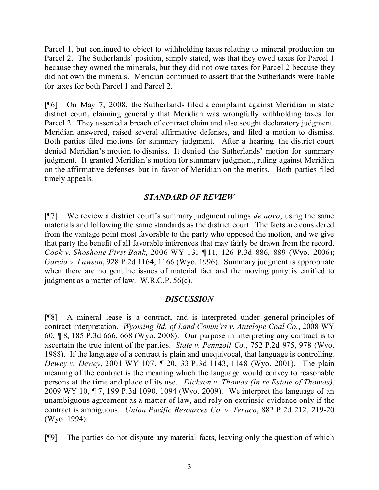Parcel 1, but continued to object to withholding taxes relating to mineral production on Parcel 2. The Sutherlands' position, simply stated, was that they owed taxes for Parcel 1 because they owned the minerals, but they did not owe taxes for Parcel 2 because they did not own the minerals. Meridian continued to assert that the Sutherlands were liable for taxes for both Parcel 1 and Parcel 2.

[¶6] On May 7, 2008, the Sutherlands filed a complaint against Meridian in state district court, claiming generally that Meridian was wrongfully withholding taxes for Parcel 2. They asserted a breach of contract claim and also sought declaratory judgment. Meridian answered, raised several affirmative defenses, and filed a motion to dismiss. Both parties filed motions for summary judgment. After a hearing, the district court denied Meridian's motion to dismiss. It denied the Sutherlands' motion for summary judgment. It granted Meridian's motion for summary judgment, ruling against Meridian on the affirmative defenses but in favor of Meridian on the merits. Both parties filed timely appeals.

# *STANDARD OF REVIEW*

[¶7] We review a district court's summary judgment rulings *de novo*, using the same materials and following the same standards as the district court. The facts are considered from the vantage point most favorable to the party who opposed the motion, and we give that party the benefit of all favorable inferences that may fairly be drawn from the record. *Cook v. Shoshone First Bank*, 2006 WY 13, ¶ 11, 126 P.3d 886, 889 (Wyo. 2006); *Garcia v. Lawson*, 928 P.2d 1164, 1166 (Wyo. 1996). Summary judgment is appropriate when there are no genuine issues of material fact and the moving party is entitled to judgment as a matter of law. W.R.C.P. 56(c).

## *DISCUSSION*

[¶8] A mineral lease is a contract, and is interpreted under general principles of contract interpretation. *Wyoming Bd. of Land Comm'rs v. Antelope Coal Co.*, 2008 WY 60, ¶ 8, 185 P.3d 666, 668 (Wyo. 2008). Our purpose in interpreting any contract is to ascertain the true intent of the parties. *State v. Pennzoil Co.*, 752 P.2d 975, 978 (Wyo. 1988). If the language of a contract is plain and unequivocal, that language is controlling. *Dewey v. Dewey*, 2001 WY 107, ¶ 20, 33 P.3d 1143, 1148 (Wyo. 2001). The plain meaning of the contract is the meaning which the language would convey to reasonable persons at the time and place of its use. *Dickson v. Thomas (In re Estate of Thomas)*, 2009 WY 10, ¶ 7, 199 P.3d 1090, 1094 (Wyo. 2009). We interpret the language of an unambiguous agreement as a matter of law, and rely on extrinsic evidence only if the contract is ambiguous. *Union Pacific Resources Co. v. Texaco*, 882 P.2d 212, 219-20 (Wyo. 1994).

[¶9] The parties do not dispute any material facts, leaving only the question of which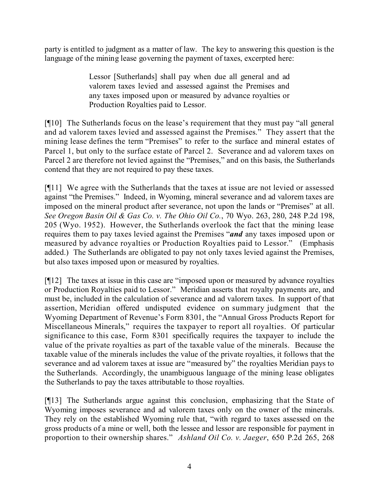party is entitled to judgment as a matter of law. The key to answering this question is the language of the mining lease governing the payment of taxes, excerpted here:

> Lessor [Sutherlands] shall pay when due all general and ad valorem taxes levied and assessed against the Premises and any taxes imposed upon or measured by advance royalties or Production Royalties paid to Lessor.

[¶10] The Sutherlands focus on the lease's requirement that they must pay "all general and ad valorem taxes levied and assessed against the Premises." They assert that the mining lease defines the term "Premises" to refer to the surface and mineral estates of Parcel 1, but only to the surface estate of Parcel 2. Severance and ad valorem taxes on Parcel 2 are therefore not levied against the "Premises," and on this basis, the Sutherlands contend that they are not required to pay these taxes.

[¶11] We agree with the Sutherlands that the taxes at issue are not levied or assessed against "the Premises." Indeed, in Wyoming, mineral severance and ad valorem taxes are imposed on the mineral product after severance, not upon the lands or "Premises" at all. *See Oregon Basin Oil & Gas Co. v. The Ohio Oil Co.*, 70 Wyo. 263, 280, 248 P.2d 198, 205 (Wyo. 1952). However, the Sutherlands overlook the fact that the mining lease requires them to pay taxes levied against the Premises "*and* any taxes imposed upon or measured by advance royalties or Production Royalties paid to Lessor." (Emphasis added.) The Sutherlands are obligated to pay not only taxes levied against the Premises, but also taxes imposed upon or measured by royalties.

[¶12] The taxes at issue in this case are "imposed upon or measured by advance royalties or Production Royalties paid to Lessor." Meridian asserts that royalty payments are, and must be, included in the calculation of severance and ad valorem taxes. In support of that assertion, Meridian offered undisputed evidence on summary judgment that the Wyoming Department of Revenue's Form 8301, the "Annual Gross Products Report for Miscellaneous Minerals," requires the taxpayer to report all royalties. Of particular significance to this case, Form 8301 specifically requires the taxpayer to include the value of the private royalties as part of the taxable value of the minerals. Because the taxable value of the minerals includes the value of the private royalties, it follows that the severance and ad valorem taxes at issue are "measured by" the royalties Meridian pays to the Sutherlands. Accordingly, the unambiguous language of the mining lease obligates the Sutherlands to pay the taxes attributable to those royalties.

[¶13] The Sutherlands argue against this conclusion, emphasizing that the State of Wyoming imposes severance and ad valorem taxes only on the owner of the minerals. They rely on the established Wyoming rule that, "with regard to taxes assessed on the gross products of a mine or well, both the lessee and lessor are responsible for payment in proportion to their ownership shares." *Ashland Oil Co. v. Jaeger*, 650 P.2d 265, 268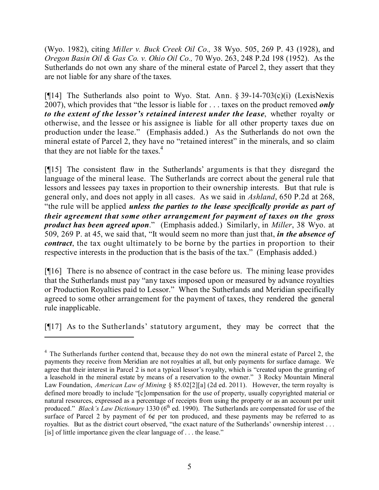(Wyo. 1982), citing *Miller v. Buck Creek Oil Co.,* 38 Wyo. 505, 269 P. 43 (1928), and *Oregon Basin Oil & Gas Co. v. Ohio Oil Co.,* 70 Wyo. 263, 248 P.2d 198 (1952). As the Sutherlands do not own any share of the mineral estate of Parcel 2, they assert that they are not liable for any share of the taxes.

[ $[14]$ ] The Sutherlands also point to Wyo. Stat. Ann.  $\S 39-14-703(c)(i)$  (LexisNexis 2007), which provides that "the lessor is liable for . . . taxes on the product removed *only to the extent of the lessor's retained interest under the lease*, whether royalty or otherwise, and the lessee or his assignee is liable for all other property taxes due on production under the lease." (Emphasis added.) As the Sutherlands do not own the mineral estate of Parcel 2, they have no "retained interest" in the minerals, and so claim that they are not liable for the taxes.<sup>4</sup>

[¶15] The consistent flaw in the Sutherlands' arguments is that they disregard the language of the mineral lease. The Sutherlands are correct about the general rule that lessors and lessees pay taxes in proportion to their ownership interests. But that rule is general only, and does not apply in all cases. As we said in *Ashland*, 650 P.2d at 268, "the rule will be applied *unless the parties to the lease specifically provide as part of their agreement that some other arrangement for payment of taxes on the gross product has been agreed upon*." (Emphasis added.) Similarly, in *Miller*, 38 Wyo. at 509, 269 P. at 45, we said that, "It would seem no more than just that, *in the absence of contract*, the tax ought ultimately to be borne by the parties in proportion to their respective interests in the production that is the basis of the tax." (Emphasis added.)

[¶16] There is no absence of contract in the case before us. The mining lease provides that the Sutherlands must pay "any taxes imposed upon or measured by advance royalties or Production Royalties paid to Lessor." When the Sutherlands and Meridian specifically agreed to some other arrangement for the payment of taxes, they rendered the general rule inapplicable.

[¶17] As to the Sutherlands' statutory argument, they may be correct that the

<sup>&</sup>lt;sup>4</sup> The Sutherlands further contend that, because they do not own the mineral estate of Parcel 2, the payments they receive from Meridian are not royalties at all, but only payments for surface damage. We agree that their interest in Parcel 2 is not a typical lessor's royalty, which is "created upon the granting of a leasehold in the mineral estate by means of a reservation to the owner." 3 Rocky Mountain Mineral Law Foundation, *American Law of Mining* § 85.02[2][a] (2d ed. 2011). However, the term royalty is defined more broadly to include "[c]ompensation for the use of property, usually copyrighted material or natural resources, expressed as a percentage of receipts from using the property or as an account per unit produced." *Black's Law Dictionary* 1330 (6<sup>th</sup> ed. 1990). The Sutherlands are compensated for use of the surface of Parcel 2 by payment of 6¢ per ton produced, and these payments may be referred to as royalties. But as the district court observed, "the exact nature of the Sutherlands' ownership interest . . . [is] of little importance given the clear language of . . . the lease."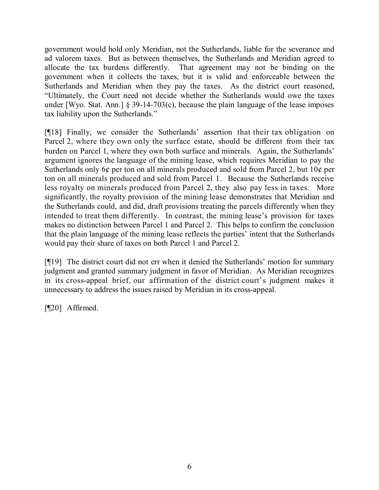government would hold only Meridian, not the Sutherlands, liable for the severance and ad valorem taxes. But as between themselves, the Sutherlands and Meridian agreed to allocate the tax burdens differently. That agreement may not be binding on the government when it collects the taxes, but it is valid and enforceable between the Sutherlands and Meridian when they pay the taxes. As the district court reasoned, "Ultimately, the Court need not decide whether the Sutherlands would owe the taxes under [Wyo. Stat. Ann.] § 39-14-703 $(c)$ , because the plain language of the lease imposes tax liability upon the Sutherlands."

[¶18] Finally, we consider the Sutherlands' assertion that their tax obligation on Parcel 2, where they own only the surface estate, should be different from their tax burden on Parcel 1, where they own both surface and minerals. Again, the Sutherlands' argument ignores the language of the mining lease, which requires Meridian to pay the Sutherlands only 6¢ per ton on all minerals produced and sold from Parcel 2, but 10¢ per ton on all minerals produced and sold from Parcel 1. Because the Sutherlands receive less royalty on minerals produced from Parcel 2, they also pay less in taxes. More significantly, the royalty provision of the mining lease demonstrates that Meridian and the Sutherlands could, and did, draft provisions treating the parcels differently when they intended to treat them differently. In contrast, the mining lease's provision for taxes makes no distinction between Parcel 1 and Parcel 2. This helps to confirm the conclusion that the plain language of the mining lease reflects the parties' intent that the Sutherlands would pay their share of taxes on both Parcel 1 and Parcel 2.

[¶19] The district court did not err when it denied the Sutherlands' motion for summary judgment and granted summary judgment in favor of Meridian. As Meridian recognizes in its cross-appeal brief, our affirmation of the district court's judgment makes it unnecessary to address the issues raised by Meridian in its cross-appeal.

[¶20] Affirmed.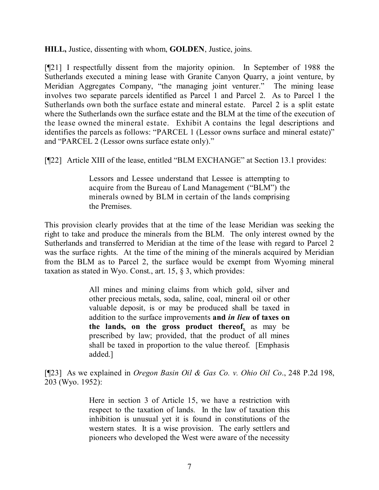**HILL,** Justice, dissenting with whom, **GOLDEN**, Justice, joins.

[¶21] I respectfully dissent from the majority opinion. In September of 1988 the Sutherlands executed a mining lease with Granite Canyon Quarry, a joint venture, by Meridian Aggregates Company, "the managing joint venturer." The mining lease involves two separate parcels identified as Parcel 1 and Parcel 2. As to Parcel 1 the Sutherlands own both the surface estate and mineral estate. Parcel 2 is a split estate where the Sutherlands own the surface estate and the BLM at the time of the execution of the lease owned the mineral estate. Exhibit A contains the legal descriptions and identifies the parcels as follows: "PARCEL 1 (Lessor owns surface and mineral estate)" and "PARCEL 2 (Lessor owns surface estate only)."

[¶22] Article XIII of the lease, entitled "BLM EXCHANGE" at Section 13.1 provides:

Lessors and Lessee understand that Lessee is attempting to acquire from the Bureau of Land Management ("BLM") the minerals owned by BLM in certain of the lands comprising the Premises.

This provision clearly provides that at the time of the lease Meridian was seeking the right to take and produce the minerals from the BLM. The only interest owned by the Sutherlands and transferred to Meridian at the time of the lease with regard to Parcel 2 was the surface rights. At the time of the mining of the minerals acquired by Meridian from the BLM as to Parcel 2, the surface would be exempt from Wyoming mineral taxation as stated in Wyo. Const., art. 15, § 3, which provides:

> All mines and mining claims from which gold, silver and other precious metals, soda, saline, coal, mineral oil or other valuable deposit, is or may be produced shall be taxed in addition to the surface improvements **and** *in lieu* **of taxes on the lands, on the gross product thereof**, as may be prescribed by law; provided, that the product of all mines shall be taxed in proportion to the value thereof. [Emphasis added.]

[¶23] As we explained in *Oregon Basin Oil & Gas Co. v. Ohio Oil Co*., 248 P.2d 198, 203 (Wyo. 1952):

> Here in section 3 of Article 15, we have a restriction with respect to the taxation of lands. In the law of taxation this inhibition is unusual yet it is found in constitutions of the western states. It is a wise provision. The early settlers and pioneers who developed the West were aware of the necessity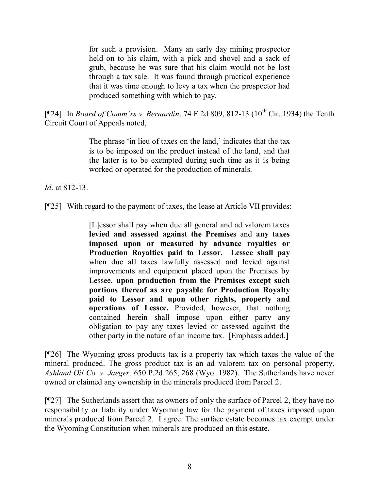for such a provision. Many an early day mining prospector held on to his claim, with a pick and shovel and a sack of grub, because he was sure that his claim would not be lost through a tax sale. It was found through practical experience that it was time enough to levy a tax when the prospector had produced something with which to pay.

[¶24] In *Board of Comm'rs v. Bernardin*, 74 F.2d 809, 812-13 (10<sup>th</sup> Cir. 1934) the Tenth Circuit Court of Appeals noted,

> The phrase 'in lieu of taxes on the land,' indicates that the tax is to be imposed on the product instead of the land, and that the latter is to be exempted during such time as it is being worked or operated for the production of minerals.

*Id*. at 812-13.

[¶25] With regard to the payment of taxes, the lease at Article VII provides:

[L]essor shall pay when due all general and ad valorem taxes **levied and assessed against the Premises** and **any taxes imposed upon or measured by advance royalties or Production Royalties paid to Lessor. Lessee shall pay** when due all taxes lawfully assessed and levied against improvements and equipment placed upon the Premises by Lessee, **upon production from the Premises except such portions thereof as are payable for Production Royalty paid to Lessor and upon other rights, property and operations of Lessee.** Provided, however, that nothing contained herein shall impose upon either party any obligation to pay any taxes levied or assessed against the other party in the nature of an income tax. [Emphasis added.]

[¶26] The Wyoming gross products tax is a property tax which taxes the value of the mineral produced. The gross product tax is an ad valorem tax on personal property. *Ashland Oil Co. v. Jaeger,* 650 P.2d 265, 268 (Wyo. 1982). The Sutherlands have never owned or claimed any ownership in the minerals produced from Parcel 2.

[¶27] The Sutherlands assert that as owners of only the surface of Parcel 2, they have no responsibility or liability under Wyoming law for the payment of taxes imposed upon minerals produced from Parcel 2. I agree. The surface estate becomes tax exempt under the Wyoming Constitution when minerals are produced on this estate.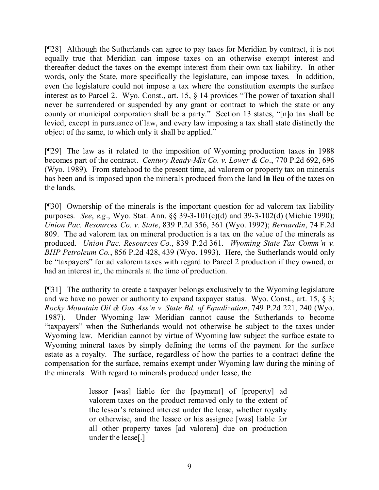[¶28] Although the Sutherlands can agree to pay taxes for Meridian by contract, it is not equally true that Meridian can impose taxes on an otherwise exempt interest and thereafter deduct the taxes on the exempt interest from their own tax liability. In other words, only the State, more specifically the legislature, can impose taxes. In addition, even the legislature could not impose a tax where the constitution exempts the surface interest as to Parcel 2. Wyo. Const., art. 15, § 14 provides "The power of taxation shall never be surrendered or suspended by any grant or contract to which the state or any county or municipal corporation shall be a party." Section 13 states, "[n]o tax shall be levied, except in pursuance of law, and every law imposing a tax shall state distinctly the object of the same, to which only it shall be applied."

[¶29] The law as it related to the imposition of Wyoming production taxes in 1988 becomes part of the contract. *Century Ready-Mix Co. v. Lower & Co*., 770 P.2d 692, 696 (Wyo. 1989). From statehood to the present time, ad valorem or property tax on minerals has been and is imposed upon the minerals produced from the land **in lieu** of the taxes on the lands.

[¶30] Ownership of the minerals is the important question for ad valorem tax liability purposes. *See*, *e.g*., Wyo. Stat. Ann. §§ 39-3-101(c)(d) and 39-3-102(d) (Michie 1990); *Union Pac. Resources Co. v. State*, 839 P.2d 356, 361 (Wyo. 1992); *Bernardin*, 74 F.2d 809. The ad valorem tax on mineral production is a tax on the value of the minerals as produced. *Union Pac. Resources Co.*, 839 P.2d 361. *Wyoming State Tax Comm'n v. BHP Petroleum Co.*, 856 P.2d 428, 439 (Wyo. 1993). Here, the Sutherlands would only be "taxpayers" for ad valorem taxes with regard to Parcel 2 production if they owned, or had an interest in, the minerals at the time of production.

[¶31] The authority to create a taxpayer belongs exclusively to the Wyoming legislature and we have no power or authority to expand taxpayer status. Wyo. Const., art. 15, § 3; *Rocky Mountain Oil & Gas Ass'n v. State Bd. of Equalization*, 749 P.2d 221, 240 (Wyo. 1987). Under Wyoming law Meridian cannot cause the Sutherlands to become "taxpayers" when the Sutherlands would not otherwise be subject to the taxes under Wyoming law. Meridian cannot by virtue of Wyoming law subject the surface estate to Wyoming mineral taxes by simply defining the terms of the payment for the surface estate as a royalty. The surface, regardless of how the parties to a contract define the compensation for the surface, remains exempt under Wyoming law during the mining of the minerals. With regard to minerals produced under lease, the

> lessor [was] liable for the [payment] of [property] ad valorem taxes on the product removed only to the extent of the lessor's retained interest under the lease, whether royalty or otherwise, and the lessee or his assignee [was] liable for all other property taxes [ad valorem] due on production under the lease[.]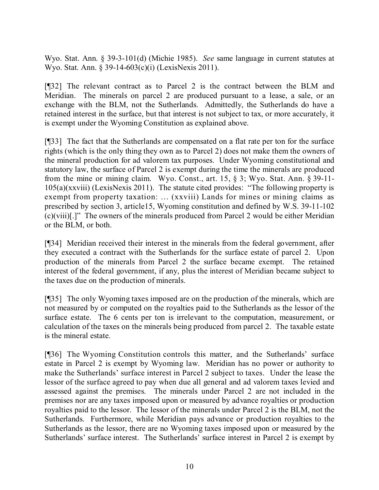Wyo. Stat. Ann. § 39-3-101(d) (Michie 1985). *See* same language in current statutes at Wyo. Stat. Ann. § 39-14-603(c)(i) (LexisNexis 2011).

[¶32] The relevant contract as to Parcel 2 is the contract between the BLM and Meridian. The minerals on parcel 2 are produced pursuant to a lease, a sale, or an exchange with the BLM, not the Sutherlands. Admittedly, the Sutherlands do have a retained interest in the surface, but that interest is not subject to tax, or more accurately, it is exempt under the Wyoming Constitution as explained above.

[¶33] The fact that the Sutherlands are compensated on a flat rate per ton for the surface rights (which is the only thing they own as to Parcel 2) does not make them the owners of the mineral production for ad valorem tax purposes. Under Wyoming constitutional and statutory law, the surface of Parcel 2 is exempt during the time the minerals are produced from the mine or mining claim. Wyo. Const., art. 15, § 3; Wyo. Stat. Ann. § 39-11- 105(a)(xxviii) (LexisNexis 2011). The statute cited provides: "The following property is exempt from property taxation: ... (xxviii) Lands for mines or mining claims as prescribed by section 3, article15, Wyoming constitution and defined by W.S. 39-11-102 (c)(viii)[.]" The owners of the minerals produced from Parcel 2 would be either Meridian or the BLM, or both.

[¶34] Meridian received their interest in the minerals from the federal government, after they executed a contract with the Sutherlands for the surface estate of parcel 2. Upon production of the minerals from Parcel 2 the surface became exempt. The retained interest of the federal government, if any, plus the interest of Meridian became subject to the taxes due on the production of minerals.

[¶35] The only Wyoming taxes imposed are on the production of the minerals, which are not measured by or computed on the royalties paid to the Sutherlands as the lessor of the surface estate. The 6 cents per ton is irrelevant to the computation, measurement, or calculation of the taxes on the minerals being produced from parcel 2. The taxable estate is the mineral estate.

[¶36] The Wyoming Constitution controls this matter, and the Sutherlands' surface estate in Parcel 2 is exempt by Wyoming law. Meridian has no power or authority to make the Sutherlands' surface interest in Parcel 2 subject to taxes. Under the lease the lessor of the surface agreed to pay when due all general and ad valorem taxes levied and assessed against the premises. The minerals under Parcel 2 are not included in the premises nor are any taxes imposed upon or measured by advance royalties or production royalties paid to the lessor. The lessor of the minerals under Parcel 2 is the BLM, not the Sutherlands. Furthermore, while Meridian pays advance or production royalties to the Sutherlands as the lessor, there are no Wyoming taxes imposed upon or measured by the Sutherlands' surface interest. The Sutherlands' surface interest in Parcel 2 is exempt by